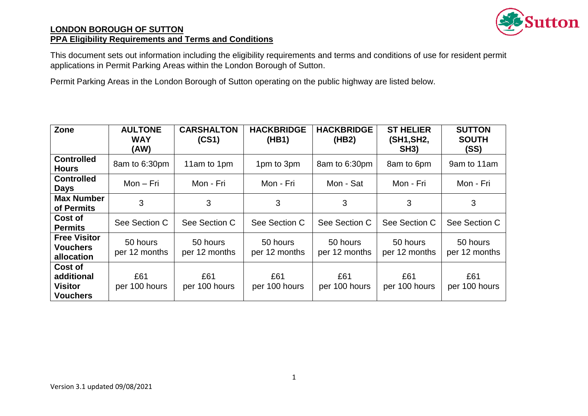

This document sets out information including the eligibility requirements and terms and conditions of use for resident permit applications in Permit Parking Areas within the London Borough of Sutton.

Permit Parking Areas in the London Borough of Sutton operating on the public highway are listed below.

| Zone                                                       | <b>AULTONE</b><br><b>WAY</b><br>(AW) | <b>CARSHALTON</b><br>(CS1) | <b>HACKBRIDGE</b><br>(HB1) | <b>HACKBRIDGE</b><br>(HB2) | <b>ST HELIER</b><br>(SH1, SH2,<br><b>SH3)</b> | <b>SUTTON</b><br><b>SOUTH</b><br>(SS) |
|------------------------------------------------------------|--------------------------------------|----------------------------|----------------------------|----------------------------|-----------------------------------------------|---------------------------------------|
| <b>Controlled</b><br><b>Hours</b>                          | 8am to 6:30pm                        | 11am to 1pm                | 1pm to 3pm                 | 8am to 6:30pm              | 8am to 6pm                                    | 9am to 11am                           |
| <b>Controlled</b><br><b>Days</b>                           | $Mon-Fri$                            | Mon - Fri                  | Mon - Fri                  | Mon - Sat                  | Mon - Fri                                     | Mon - Fri                             |
| <b>Max Number</b><br>of Permits                            | 3                                    | 3                          | 3                          | 3                          | 3                                             | 3                                     |
| Cost of<br><b>Permits</b>                                  | See Section C                        | See Section C              | See Section C              | See Section C              | See Section C                                 | See Section C                         |
| <b>Free Visitor</b><br><b>Vouchers</b><br>allocation       | 50 hours<br>per 12 months            | 50 hours<br>per 12 months  | 50 hours<br>per 12 months  | 50 hours<br>per 12 months  | 50 hours<br>per 12 months                     | 50 hours<br>per 12 months             |
| Cost of<br>additional<br><b>Visitor</b><br><b>Vouchers</b> | £61<br>per 100 hours                 | £61<br>per 100 hours       | £61<br>per 100 hours       | £61<br>per 100 hours       | £61<br>per 100 hours                          | £61<br>per 100 hours                  |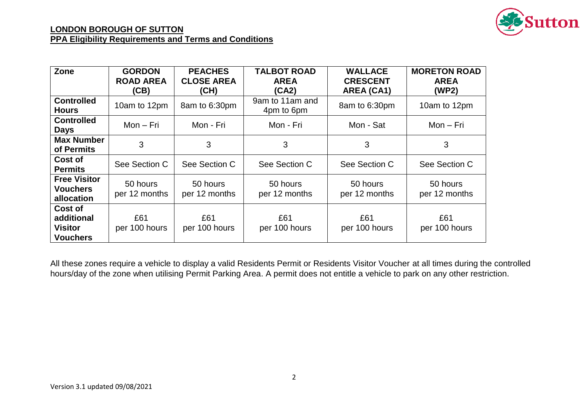

| Zone                                                       | <b>GORDON</b><br><b>ROAD AREA</b><br>(CB) | <b>PEACHES</b><br><b>CLOSE AREA</b><br>(CH) | <b>TALBOT ROAD</b><br><b>AREA</b><br>(CA2) | <b>WALLACE</b><br><b>CRESCENT</b><br><b>AREA (CA1)</b> | <b>MORETON ROAD</b><br><b>AREA</b><br>(WP2) |
|------------------------------------------------------------|-------------------------------------------|---------------------------------------------|--------------------------------------------|--------------------------------------------------------|---------------------------------------------|
| <b>Controlled</b><br><b>Hours</b>                          | 10am to 12pm                              | 8am to 6:30pm                               | 9am to 11am and<br>4pm to 6pm              | 8am to 6:30pm                                          | 10am to 12pm                                |
| <b>Controlled</b><br><b>Days</b>                           | $Mon-Fri$                                 | Mon - Fri                                   | Mon - Fri                                  | Mon - Sat                                              | Mon – Fri                                   |
| <b>Max Number</b><br>of Permits                            | 3                                         | 3                                           | 3                                          | 3                                                      | 3                                           |
| Cost of<br><b>Permits</b>                                  | See Section C                             | See Section C                               | See Section C                              | See Section C                                          | See Section C                               |
| <b>Free Visitor</b><br><b>Vouchers</b><br>allocation       | 50 hours<br>per 12 months                 | 50 hours<br>per 12 months                   | 50 hours<br>per 12 months                  | 50 hours<br>per 12 months                              | 50 hours<br>per 12 months                   |
| Cost of<br>additional<br><b>Visitor</b><br><b>Vouchers</b> | £61<br>per 100 hours                      | £61<br>per 100 hours                        | £61<br>per 100 hours                       | £61<br>per 100 hours                                   | £61<br>per 100 hours                        |

All these zones require a vehicle to display a valid Residents Permit or Residents Visitor Voucher at all times during the controlled hours/day of the zone when utilising Permit Parking Area. A permit does not entitle a vehicle to park on any other restriction.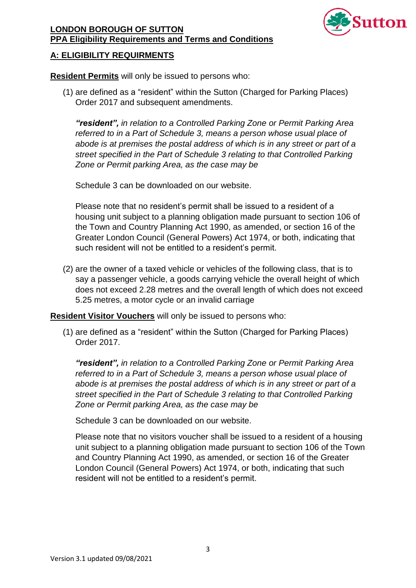

### **A: ELIGIBILITY REQUIRMENTS**

**Resident Permits** will only be issued to persons who:

(1) are defined as a "resident" within the Sutton (Charged for Parking Places) Order 2017 and subsequent amendments.

*"resident", in relation to a Controlled Parking Zone or Permit Parking Area referred to in a Part of Schedule 3, means a person whose usual place of abode is at premises the postal address of which is in any street or part of a street specified in the Part of Schedule 3 relating to that Controlled Parking Zone or Permit parking Area, as the case may be*

Schedule 3 can be downloaded on our website.

Please note that no resident's permit shall be issued to a resident of a housing unit subject to a planning obligation made pursuant to section 106 of the Town and Country Planning Act 1990, as amended, or section 16 of the Greater London Council (General Powers) Act 1974, or both, indicating that such resident will not be entitled to a resident's permit.

(2) are the owner of a taxed vehicle or vehicles of the following class, that is to say a passenger vehicle, a goods carrying vehicle the overall height of which does not exceed 2.28 metres and the overall length of which does not exceed 5.25 metres, a motor cycle or an invalid carriage

**Resident Visitor Vouchers** will only be issued to persons who:

(1) are defined as a "resident" within the Sutton (Charged for Parking Places) Order 2017.

*"resident", in relation to a Controlled Parking Zone or Permit Parking Area referred to in a Part of Schedule 3, means a person whose usual place of abode is at premises the postal address of which is in any street or part of a street specified in the Part of Schedule 3 relating to that Controlled Parking Zone or Permit parking Area, as the case may be*

Schedule 3 can be downloaded on our website.

Please note that no visitors voucher shall be issued to a resident of a housing unit subject to a planning obligation made pursuant to section 106 of the Town and Country Planning Act 1990, as amended, or section 16 of the Greater London Council (General Powers) Act 1974, or both, indicating that such resident will not be entitled to a resident's permit.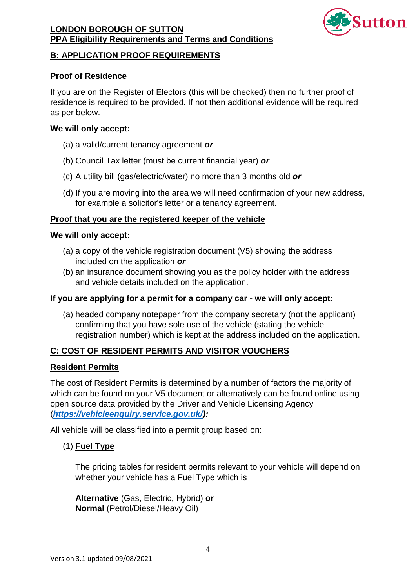

# **B: APPLICATION PROOF REQUIREMENTS**

# **Proof of Residence**

If you are on the Register of Electors (this will be checked) then no further proof of residence is required to be provided. If not then additional evidence will be required as per below.

## **We will only accept:**

- (a) a valid/current tenancy agreement *or*
- (b) Council Tax letter (must be current financial year) *or*
- (c) A utility bill (gas/electric/water) no more than 3 months old *or*
- (d) If you are moving into the area we will need confirmation of your new address, for example a solicitor's letter or a tenancy agreement.

### **Proof that you are the registered keeper of the vehicle**

### **We will only accept:**

- (a) a copy of the vehicle registration document (V5) showing the address included on the application *or*
- (b) an insurance document showing you as the policy holder with the address and vehicle details included on the application.

## **If you are applying for a permit for a company car - we will only accept:**

(a) headed company notepaper from the company secretary (not the applicant) confirming that you have sole use of the vehicle (stating the vehicle registration number) which is kept at the address included on the application.

# **C: COST OF RESIDENT PERMITS AND VISITOR VOUCHERS**

# **Resident Permits**

The cost of Resident Permits is determined by a number of factors the majority of which can be found on your V5 document or alternatively can be found online using open source data provided by the Driver and Vehicle Licensing Agency (*[https://vehicleenquiry.service.gov.uk/\)](https://vehicleenquiry.service.gov.uk/):*

All vehicle will be classified into a permit group based on:

# (1) **Fuel Type**

The pricing tables for resident permits relevant to your vehicle will depend on whether your vehicle has a Fuel Type which is

**Alternative** (Gas, Electric, Hybrid) **or Normal** (Petrol/Diesel/Heavy Oil)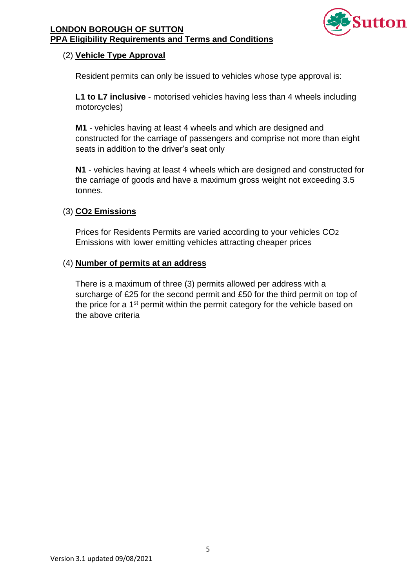

# (2) **Vehicle Type Approval**

Resident permits can only be issued to vehicles whose type approval is:

**L1 to L7 inclusive** - motorised vehicles having less than 4 wheels including motorcycles)

**M1** - vehicles having at least 4 wheels and which are designed and constructed for the carriage of passengers and comprise not more than eight seats in addition to the driver's seat only

**N1** - vehicles having at least 4 wheels which are designed and constructed for the carriage of goods and have a maximum gross weight not exceeding 3.5 tonnes.

### (3) **CO2 Emissions**

Prices for Residents Permits are varied according to your vehicles CO2 Emissions with lower emitting vehicles attracting cheaper prices

#### (4) **Number of permits at an address**

There is a maximum of three (3) permits allowed per address with a surcharge of £25 for the second permit and £50 for the third permit on top of the price for a 1<sup>st</sup> permit within the permit category for the vehicle based on the above criteria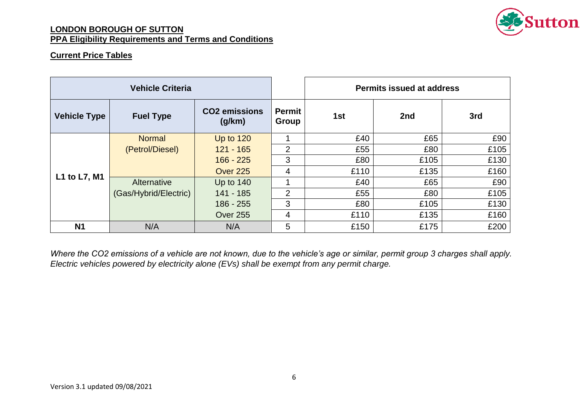

#### **Current Price Tables**

| <b>Vehicle Criteria</b> |                       |                                |                        | <b>Permits issued at address</b> |      |      |  |
|-------------------------|-----------------------|--------------------------------|------------------------|----------------------------------|------|------|--|
| <b>Vehicle Type</b>     | <b>Fuel Type</b>      | <b>CO2</b> emissions<br>(g/km) | <b>Permit</b><br>Group | 1st                              | 2nd  | 3rd  |  |
| L1 to L7, M1            | <b>Normal</b>         | Up to $120$                    |                        | £40                              | £65  | £90  |  |
|                         | (Petrol/Diesel)       | $121 - 165$                    | 2                      | £55                              | £80  | £105 |  |
|                         |                       | $166 - 225$                    | 3                      | £80                              | £105 | £130 |  |
|                         |                       | <b>Over 225</b>                | 4                      | £110                             | £135 | £160 |  |
|                         | Alternative           | <b>Up to 140</b>               |                        | £40                              | £65  | £90  |  |
|                         | (Gas/Hybrid/Electric) | 141 - 185                      | 2                      | £55                              | £80  | £105 |  |
|                         |                       | $186 - 255$                    | 3                      | £80                              | £105 | £130 |  |
|                         |                       | <b>Over 255</b>                | 4                      | £110                             | £135 | £160 |  |
| <b>N1</b>               | N/A                   | N/A                            | 5                      | £150                             | £175 | £200 |  |

*Where the CO2 emissions of a vehicle are not known, due to the vehicle's age or similar, permit group 3 charges shall apply. Electric vehicles powered by electricity alone (EVs) shall be exempt from any permit charge.*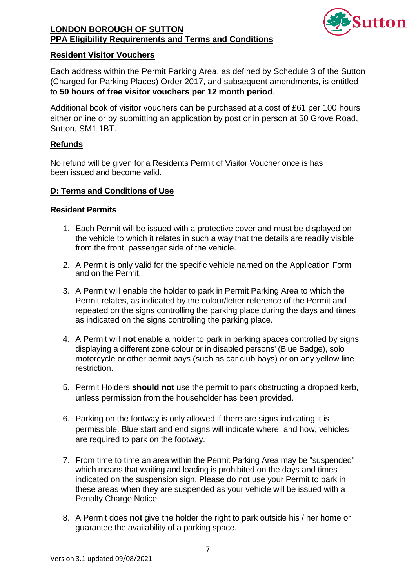

### **Resident Visitor Vouchers**

Each address within the Permit Parking Area, as defined by Schedule 3 of the Sutton (Charged for Parking Places) Order 2017, and subsequent amendments, is entitled to **50 hours of free visitor vouchers per 12 month period**.

Additional book of visitor vouchers can be purchased at a cost of £61 per 100 hours either online or by submitting an application by post or in person at 50 Grove Road, Sutton, SM1 1BT.

#### **Refunds**

No refund will be given for a Residents Permit of Visitor Voucher once is has been issued and become valid.

#### **D: Terms and Conditions of Use**

#### **Resident Permits**

- 1. Each Permit will be issued with a protective cover and must be displayed on the vehicle to which it relates in such a way that the details are readily visible from the front, passenger side of the vehicle.
- 2. A Permit is only valid for the specific vehicle named on the Application Form and on the Permit.
- 3. A Permit will enable the holder to park in Permit Parking Area to which the Permit relates, as indicated by the colour/letter reference of the Permit and repeated on the signs controlling the parking place during the days and times as indicated on the signs controlling the parking place.
- 4. A Permit will **not** enable a holder to park in parking spaces controlled by signs displaying a different zone colour or in disabled persons' (Blue Badge), solo motorcycle or other permit bays (such as car club bays) or on any yellow line restriction.
- 5. Permit Holders **should not** use the permit to park obstructing a dropped kerb, unless permission from the householder has been provided.
- 6. Parking on the footway is only allowed if there are signs indicating it is permissible. Blue start and end signs will indicate where, and how, vehicles are required to park on the footway.
- 7. From time to time an area within the Permit Parking Area may be "suspended" which means that waiting and loading is prohibited on the days and times indicated on the suspension sign. Please do not use your Permit to park in these areas when they are suspended as your vehicle will be issued with a Penalty Charge Notice.
- 8. A Permit does **not** give the holder the right to park outside his / her home or guarantee the availability of a parking space.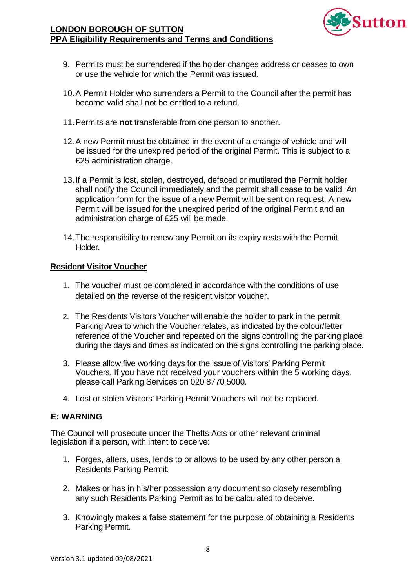

- 9. Permits must be surrendered if the holder changes address or ceases to own or use the vehicle for which the Permit was issued.
- 10.A Permit Holder who surrenders a Permit to the Council after the permit has become valid shall not be entitled to a refund.
- 11.Permits are **not** transferable from one person to another.
- 12.A new Permit must be obtained in the event of a change of vehicle and will be issued for the unexpired period of the original Permit. This is subject to a £25 administration charge.
- 13.If a Permit is lost, stolen, destroyed, defaced or mutilated the Permit holder shall notify the Council immediately and the permit shall cease to be valid. An application form for the issue of a new Permit will be sent on request. A new Permit will be issued for the unexpired period of the original Permit and an administration charge of £25 will be made.
- 14.The responsibility to renew any Permit on its expiry rests with the Permit Holder.

#### **Resident Visitor Voucher**

- 1. The voucher must be completed in accordance with the conditions of use detailed on the reverse of the resident visitor voucher.
- 2. The Residents Visitors Voucher will enable the holder to park in the permit Parking Area to which the Voucher relates, as indicated by the colour/letter reference of the Voucher and repeated on the signs controlling the parking place during the days and times as indicated on the signs controlling the parking place.
- 3. Please allow five working days for the issue of Visitors' Parking Permit Vouchers. If you have not received your vouchers within the 5 working days, please call Parking Services on 020 8770 5000.
- 4. Lost or stolen Visitors' Parking Permit Vouchers will not be replaced.

# **E: WARNING**

The Council will prosecute under the Thefts Acts or other relevant criminal legislation if a person, with intent to deceive:

- 1. Forges, alters, uses, lends to or allows to be used by any other person a Residents Parking Permit.
- 2. Makes or has in his/her possession any document so closely resembling any such Residents Parking Permit as to be calculated to deceive.
- 3. Knowingly makes a false statement for the purpose of obtaining a Residents Parking Permit.